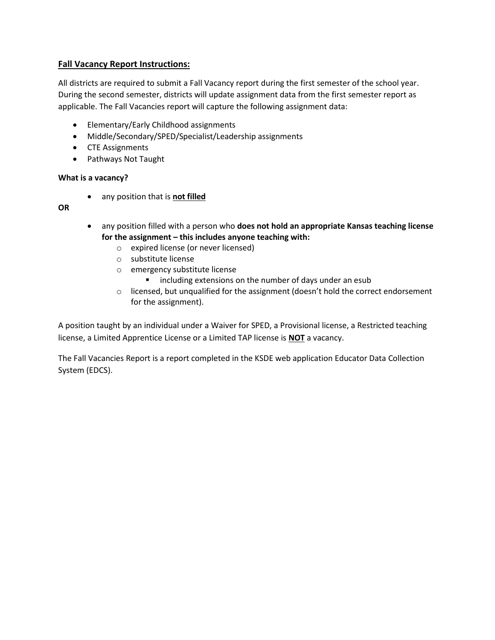### **Fall Vacancy Report Instructions:**

All districts are required to submit a Fall Vacancy report during the first semester of the school year. During the second semester, districts will update assignment data from the first semester report as applicable. The Fall Vacancies report will capture the following assignment data:

- Elementary/Early Childhood assignments
- Middle/Secondary/SPED/Specialist/Leadership assignments
- CTE Assignments
- Pathways Not Taught

### **What is a vacancy?**

• any position that is **not filled**

### **OR**

- any position filled with a person who **does not hold an appropriate Kansas teaching license for the assignment – this includes anyone teaching with:**
	- o expired license (or never licensed)
	- o substitute license
	- o emergency substitute license
		- including extensions on the number of days under an esub
	- $\circ$  licensed, but unqualified for the assignment (doesn't hold the correct endorsement for the assignment).

A position taught by an individual under a Waiver for SPED, a Provisional license, a Restricted teaching license, a Limited Apprentice License or a Limited TAP license is **NOT** a vacancy.

The Fall Vacancies Report is a report completed in the KSDE web application Educator Data Collection System (EDCS).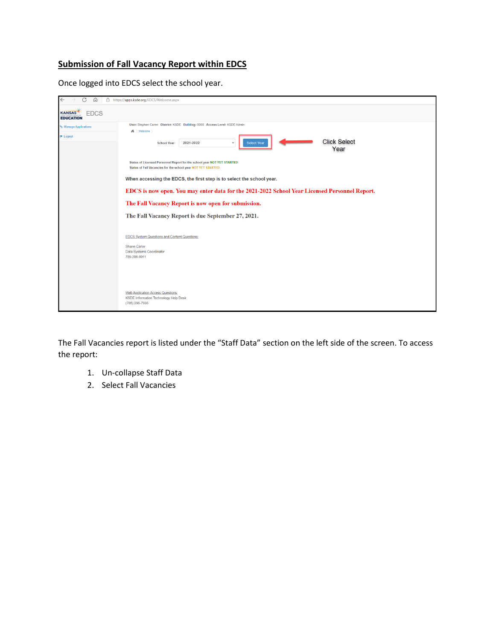### **Submission of Fall Vacancy Report within EDCS**

Once logged into EDCS select the school year.

| https://apps.ksde.org/EDCS/Welcome.aspx                                                                                                 |
|-----------------------------------------------------------------------------------------------------------------------------------------|
|                                                                                                                                         |
| User: Stephen Carter District: KSDE Building: 0000 Access Level: KSDE Admin                                                             |
| $\bigwedge$ Welcome                                                                                                                     |
| <b>Click Select</b><br>2021-2022<br><b>Select Year</b><br>$\checkmark$<br><b>School Year:</b><br>Year                                   |
| Status of Licensed Personnel Report for the school year NOT YET STARTED<br>Status of Fall Vacancies for the school year NOT YET STARTED |
|                                                                                                                                         |
| When accessing the EDCS, the first step is to select the school year.                                                                   |
| EDCS is now open. You may enter data for the 2021-2022 School Year Licensed Personnel Report.                                           |
| The Fall Vacancy Report is now open for submission.                                                                                     |
| The Fall Vacancy Report is due September 27, 2021.                                                                                      |
|                                                                                                                                         |
| <b>EDCS System Questions and Content Questions:</b>                                                                                     |
| <b>Shane Carter</b>                                                                                                                     |
| Data Systems Coordinator<br>785-296-8011                                                                                                |
|                                                                                                                                         |
|                                                                                                                                         |
|                                                                                                                                         |
|                                                                                                                                         |
| <b>Web Application Access Questions:</b><br><b>KSDE Information Technology Help Desk</b><br>(785) 296-7935                              |
|                                                                                                                                         |

The Fall Vacancies report is listed under the "Staff Data" section on the left side of the screen. To access the report:

- 1. Un-collapse Staff Data
- 2. Select Fall Vacancies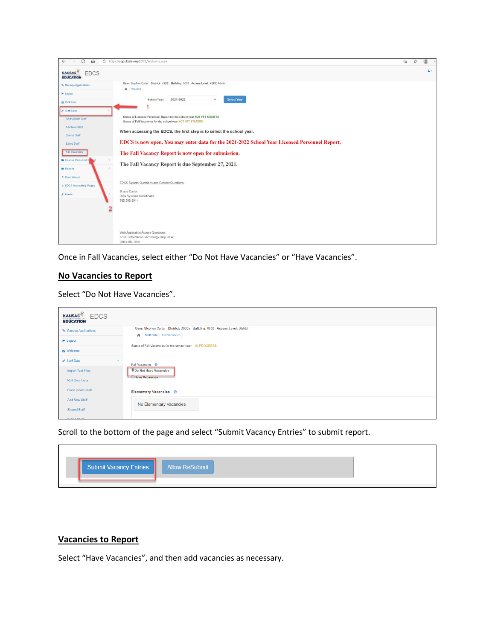| G<br>$\Omega$<br>$\leftarrow$                                                                                                                                                                                                                                                      | https://apps.ksde.org/EDCS/Welcome.aspx                                                                                                                                                                                                                                                                                                                                                                                                                                                                                                                                                                                                     | $\vec{c}$<br>$\leq$ |
|------------------------------------------------------------------------------------------------------------------------------------------------------------------------------------------------------------------------------------------------------------------------------------|---------------------------------------------------------------------------------------------------------------------------------------------------------------------------------------------------------------------------------------------------------------------------------------------------------------------------------------------------------------------------------------------------------------------------------------------------------------------------------------------------------------------------------------------------------------------------------------------------------------------------------------------|---------------------|
| <b>EDCS</b><br><b>KANSAS</b><br><b>EDUCATION</b>                                                                                                                                                                                                                                   |                                                                                                                                                                                                                                                                                                                                                                                                                                                                                                                                                                                                                                             | $\Delta \leftarrow$ |
| % Manage Applications<br><b>e</b> Logout<br><b>&amp;</b> Welcome<br>Staff Data<br><b>Find/Update Staff</b><br>Add New Staff<br>Shared Staff<br><b>Exited Staff</b><br>Fall Vacancies<br>License Personnel R<br><b>In</b> Reports<br>? User Manual<br><b>7 EDCS Home/Help Pages</b> | User: Stephen Carter District: KSDE Building: 0000 Access Level: KSDE Admin<br>Welcome<br>2021-2022<br><b>Select Year</b><br>$\checkmark$<br>School Year:<br>Status of Licensed Personnel Report for the school year NOT YET STARTED<br>Status of Fall Vacancies for the school year NOT YET STARTED<br>When accessing the EDCS, the first step is to select the school year.<br>EDCS is now open. You may enter data for the 2021-2022 School Year Licensed Personnel Report.<br>The Fall Vacancy Report is now open for submission.<br>The Fall Vacancy Report is due September 27, 2021.<br>EDCS System Questions and Content Questions: |                     |
| $F$ Admin                                                                                                                                                                                                                                                                          | Shane Carter<br>Data Systems Coordinator<br>785-296-8011<br>Web Application Access Questions:<br>KSDE Information Technology Help Desk<br>(785) 296-7935                                                                                                                                                                                                                                                                                                                                                                                                                                                                                    |                     |

Once in Fall Vacancies, select either "Do Not Have Vacancies" or "Have Vacancies".

### **No Vacancies to Report**

Select "Do Not Have Vacancies".

| <b>EDCS</b><br><b>KANSAS</b><br><b>EDUCATION</b> |                                                                                                                       |
|--------------------------------------------------|-----------------------------------------------------------------------------------------------------------------------|
| % Manage Applications                            | User: Stephen Carter District: D0305 Building: 0000 Access Level: District<br><b>Ni</b> Staff Data > Fall Vacancies > |
| <b>■ Logout</b>                                  | Status of Fall Vacancies for the school year: IN PROGRESS                                                             |
| <b>®</b> Welcome                                 |                                                                                                                       |
| Staff Data<br>$\sim$                             | Fall Vacancies <sup>O</sup>                                                                                           |
| <b>Import Text Files</b>                         | <b>ODo Not Have Vacancies</b>                                                                                         |
| <b>Roll Over Data</b>                            | <b>UHave Vacancies</b>                                                                                                |
| Find/Update Staff                                | Elementary Vacancies <sup>O</sup>                                                                                     |
| <b>Add New Staff</b>                             | No Elementary Vacancies                                                                                               |
| <b>Shared Staff</b>                              |                                                                                                                       |

Scroll to the bottom of the page and select "Submit Vacancy Entries" to submit report.

| Submit Vacancy Entries   Allow ReSubmit |         |
|-----------------------------------------|---------|
|                                         | ------- |

## **Vacancies to Report**

Select "Have Vacancies", and then add vacancies as necessary.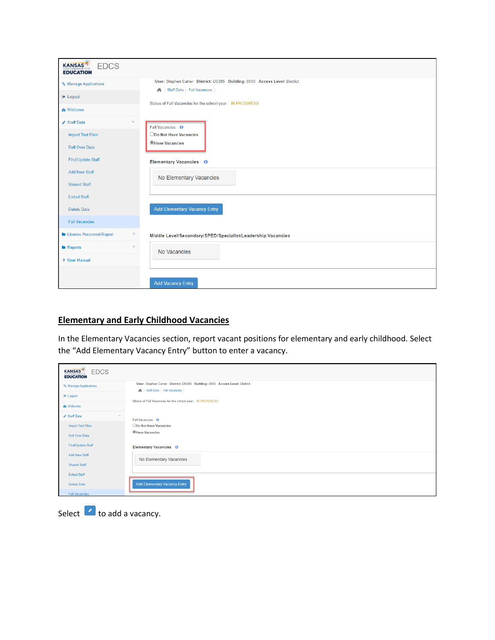| <b>KANSAS</b><br><b>EDCS</b><br><b>EDUCATION</b> |                                                                                            |
|--------------------------------------------------|--------------------------------------------------------------------------------------------|
| % Manage Applications                            | User: Stephen Carter District: D0305 Building: 0000 Access Level: District                 |
| <b>■ Logout</b>                                  | Staff Data > Fall Vacancies ><br>Status of Fall Vacancies for the school year: IN PROGRESS |
| <b>®</b> Welcome                                 |                                                                                            |
| Staff Data<br>$\checkmark$                       | Fall Vacancies <sup>O</sup>                                                                |
| <b>Import Text Files</b>                         | ODo Not Have Vacancies                                                                     |
| <b>Roll Over Data</b>                            | <b>OHave Vacancies</b>                                                                     |
| <b>Find/Update Staff</b>                         | Elementary Vacancies <sup>O</sup>                                                          |
| <b>Add New Staff</b>                             | No Elementary Vacancies                                                                    |
| <b>Shared Staff</b>                              |                                                                                            |
| <b>Exited Staff</b>                              |                                                                                            |
| Delete Data                                      | <b>Add Elementary Vacancy Entry</b>                                                        |
| <b>Fall Vacancies</b>                            |                                                                                            |
| License Personnel Report<br>$\zeta_-$            | Middle Level/Secondary/SPED/Specialist/Leadership Vacancies                                |
| $\left\langle \right\rangle$<br><b>Reports</b>   | No Vacancies                                                                               |
| ? User Manual                                    |                                                                                            |
|                                                  | <b>Add Vacancy Entry</b>                                                                   |

### **Elementary and Early Childhood Vacancies**

In the Elementary Vacancies section, report vacant positions for elementary and early childhood. Select the "Add Elementary Vacancy Entry" button to enter a vacancy.

| <b>EDCS</b><br><b>KANSAS</b><br><b>EDUCATION</b> |                                                                                                           |
|--------------------------------------------------|-----------------------------------------------------------------------------------------------------------|
| % Manage Applications                            | User: Stephen Carter District: D0305 Building: 0000 Access Level: District<br>Staff Data ) Fall Vacancies |
| <b>■</b> Logout                                  | Status of Fall Vacancies for the school year: IN PROGRESS                                                 |
| <b>®</b> Welcome                                 |                                                                                                           |
| Staff Data<br>$\checkmark$                       | Fall Vacancies <sup>O</sup>                                                                               |
| <b>Import Text Files</b>                         | ODo Not Have Vacancies                                                                                    |
| <b>Roll Over Data</b>                            | <b>CHave Vacancies</b>                                                                                    |
| Find/Update Staff                                | Elementary Vacancies <sup>O</sup>                                                                         |
| <b>Add New Staff</b>                             | No Elementary Vacancies                                                                                   |
| <b>Shared Staff</b>                              |                                                                                                           |
| <b>Exited Staff</b>                              |                                                                                                           |
| Delete Data                                      | <b>Add Elementary Vacancy Entry</b>                                                                       |
| <b>Fall Vacancies</b>                            |                                                                                                           |

Select  $\bullet$  to add a vacancy.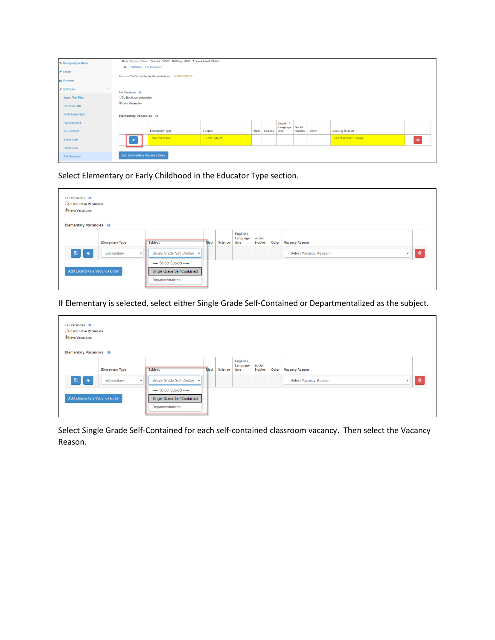|                            |                                     | User: Stephen Carter District: D0305 Building: 0000 Access Level: District |                    |      |         |                  |                |       |                           |           |  |  |  |
|----------------------------|-------------------------------------|----------------------------------------------------------------------------|--------------------|------|---------|------------------|----------------|-------|---------------------------|-----------|--|--|--|
| % Manage Applications      | 6 > Staff Data > Fall Vacancies >   |                                                                            |                    |      |         |                  |                |       |                           |           |  |  |  |
| <b><sup>⊕</sup></b> Logout |                                     | Status of Fall Vacancies for the school year: IN PROGRESS                  |                    |      |         |                  |                |       |                           |           |  |  |  |
| <b>@</b> Welcome           |                                     |                                                                            |                    |      |         |                  |                |       |                           |           |  |  |  |
| Staff Data                 | Fall Vacancies <sup>O</sup>         |                                                                            |                    |      |         |                  |                |       |                           |           |  |  |  |
| <b>Import Text Files</b>   | ODo Not Have Vacancies              | <b>CHave Vacancies</b>                                                     |                    |      |         |                  |                |       |                           |           |  |  |  |
| <b>Roll Over Data</b>      |                                     |                                                                            |                    |      |         |                  |                |       |                           |           |  |  |  |
| Find/Update Staff          | Elementary Vacancies <sup>O</sup>   |                                                                            |                    |      |         |                  |                |       |                           |           |  |  |  |
| <b>Add New Staff</b>       |                                     |                                                                            |                    |      |         | English /        | Social         |       |                           |           |  |  |  |
| <b>Shared Staff</b>        |                                     | <b>Elementary Type</b>                                                     | Subject            | Math | Science | Language<br>Arts | <b>Studies</b> | Other | <b>Vacancy Reason</b>     |           |  |  |  |
| <b>Exited Staff</b>        |                                     | - Need Selection -                                                         | - Select Subject - |      |         |                  |                |       | - Select Vacancy Reason - | $\bullet$ |  |  |  |
| Delete Data                |                                     |                                                                            |                    |      |         |                  |                |       |                           |           |  |  |  |
| <b>Fall Vacancies</b>      | <b>Add Elementary Vacancy Entry</b> |                                                                            |                    |      |         |                  |                |       |                           |           |  |  |  |

Select Elementary or Early Childhood in the Educator Type section.

| Fall Vacancies <sup>O</sup><br>ODo Not Have Vacancies<br><b>OHave Vacancies</b><br>Elementary Vacancies <sup>O</sup> |                            |                                                                               |      |                |                               |                          |       |                                           |           |
|----------------------------------------------------------------------------------------------------------------------|----------------------------|-------------------------------------------------------------------------------|------|----------------|-------------------------------|--------------------------|-------|-------------------------------------------|-----------|
|                                                                                                                      | <b>Elementary Type</b>     | Subject                                                                       | Nath | <b>Science</b> | English /<br>Language<br>Arts | Social<br><b>Studies</b> | Other | <b>Vacancy Reason</b>                     |           |
| $B$ $+$                                                                                                              | Elementary<br>$\checkmark$ | Single Grade Self Contair v                                                   |      |                |                               |                          |       | - Select Vacancy Reason -<br>$\checkmark$ | $\bullet$ |
| <b>Add Elementary Vacancy Entry</b>                                                                                  |                            | ----- Select Subject -----<br>Single Grade Self Contained<br>Departmentalized |      |                |                               |                          |       |                                           |           |

If Elementary is selected, select either Single Grade Self-Contained or Departmentalized as the subject.

| Fall Vacancies <sup>O</sup><br>ODo Not Have Vacancies<br><b>OHave Vacancies</b><br>Elementary Vacancies <sup>O</sup> |                            |                                                                               |      |                |                               |                          |       |                                           |           |
|----------------------------------------------------------------------------------------------------------------------|----------------------------|-------------------------------------------------------------------------------|------|----------------|-------------------------------|--------------------------|-------|-------------------------------------------|-----------|
|                                                                                                                      | <b>Elementary Type</b>     | Subject                                                                       | Nath | <b>Science</b> | English /<br>Language<br>Arts | Social<br><b>Studies</b> | Other | <b>Vacancy Reason</b>                     |           |
| $B$ $+$                                                                                                              | Elementary<br>$\checkmark$ | Single Grade Self Contair v                                                   |      |                |                               |                          |       | - Select Vacancy Reason -<br>$\checkmark$ | $\bullet$ |
| <b>Add Elementary Vacancy Entry</b>                                                                                  |                            | ----- Select Subject -----<br>Single Grade Self Contained<br>Departmentalized |      |                |                               |                          |       |                                           |           |

Select Single Grade Self-Contained for each self-contained classroom vacancy. Then select the Vacancy Reason.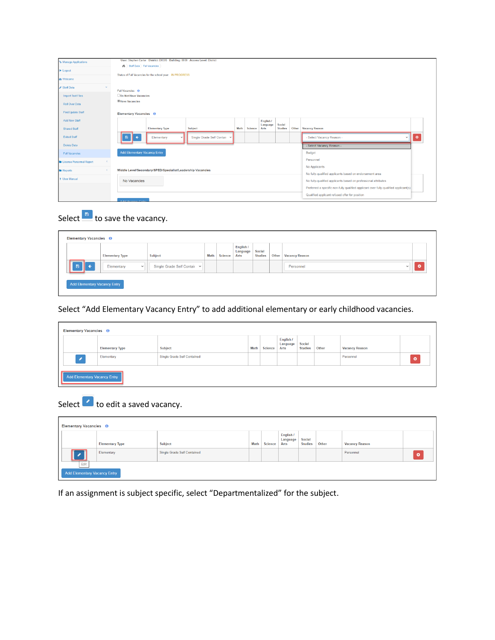| % Manage Applications              | User: Stephen Carter District: D0305 Building: 0000 Access Level: District                                                             |  |  |  |  |  |  |  |  |  |  |
|------------------------------------|----------------------------------------------------------------------------------------------------------------------------------------|--|--|--|--|--|--|--|--|--|--|
| <sup>®</sup> Logout                | 6 Staff Data > Fall Vacancies >                                                                                                        |  |  |  |  |  |  |  |  |  |  |
|                                    | Status of Fall Vacancies for the school year: IN PROGRESS                                                                              |  |  |  |  |  |  |  |  |  |  |
| <b>@</b> Welcome                   |                                                                                                                                        |  |  |  |  |  |  |  |  |  |  |
| Staff Data                         | Fall Vacancies <sup>O</sup>                                                                                                            |  |  |  |  |  |  |  |  |  |  |
| Import Text Files                  | <b>ODo Not Have Vacancies</b>                                                                                                          |  |  |  |  |  |  |  |  |  |  |
| <b>Roll Over Data</b>              | <b><i><u>OHave Vacancies</u></i></b>                                                                                                   |  |  |  |  |  |  |  |  |  |  |
| Find/Update Staff                  | Elementary Vacancies <sup>O</sup>                                                                                                      |  |  |  |  |  |  |  |  |  |  |
| Add New Staff                      | English /                                                                                                                              |  |  |  |  |  |  |  |  |  |  |
| <b>Shared Staff</b>                | Language<br>Social<br><b>Vacancy Reason</b><br><b>Elementary Type</b><br>Subject<br>Science<br>Other<br>Math<br>Arts<br><b>Studies</b> |  |  |  |  |  |  |  |  |  |  |
| <b>Exited Staff</b>                | $\bullet$<br>Single Grade Self Contair v<br>- Select Vacancy Reason -<br>Elementary<br>鲁                                               |  |  |  |  |  |  |  |  |  |  |
| Delete Data                        | - Select Vacancy Reason -                                                                                                              |  |  |  |  |  |  |  |  |  |  |
| <b>Fall Vacancies</b>              | <b>Add Elementary Vacancy Entry</b><br>Budget                                                                                          |  |  |  |  |  |  |  |  |  |  |
| <b>In License Personnel Report</b> | Personnel                                                                                                                              |  |  |  |  |  |  |  |  |  |  |
|                                    | No Applicants                                                                                                                          |  |  |  |  |  |  |  |  |  |  |
| <b>B</b> Reports                   | Middle Level/Secondary/SPED/Specialist/Leadership Vacancies<br>No fully-qualified applicants based on endorsement area                 |  |  |  |  |  |  |  |  |  |  |
| ? User Manual                      | No Vacancies<br>No fully-qualified applicants based on professional attributes                                                         |  |  |  |  |  |  |  |  |  |  |
|                                    | Preferred a specific non-fully qualified applicant over fully-qualified applicant(s)                                                   |  |  |  |  |  |  |  |  |  |  |
|                                    | Qualified applicant refused offer for position                                                                                         |  |  |  |  |  |  |  |  |  |  |
|                                    | <b>A MAIN AND HOME POWER</b>                                                                                                           |  |  |  |  |  |  |  |  |  |  |

# Select  $\blacksquare$  to save the vacancy.

|                     | <b>Elementary Type</b>     | <b>Subject</b>              | Math | <b>Science</b> | English /<br>Language<br>Arts | Social<br><b>Studies</b> | Other | <b>Vacancy Reason</b>     |           |
|---------------------|----------------------------|-----------------------------|------|----------------|-------------------------------|--------------------------|-------|---------------------------|-----------|
| 日<br>$\overline{ }$ | Elementary<br>$\checkmark$ | Single Grade Self Contair v |      |                |                               |                          |       | Personnel<br>$\checkmark$ | $\bullet$ |

## Select "Add Elementary Vacancy Entry" to add additional elementary or early childhood vacancies.

|                             | Elementary Vacancies <sup>O</sup>   |                                    |      |                |                               |                          |       |                       |           |  |  |
|-----------------------------|-------------------------------------|------------------------------------|------|----------------|-------------------------------|--------------------------|-------|-----------------------|-----------|--|--|
|                             | <b>Elementary Type</b>              | Subject                            | Math | <b>Science</b> | English /<br>Language<br>Arts | Social<br><b>Studies</b> | Other | <b>Vacancy Reason</b> |           |  |  |
| $\mathcal{S}_{\mathcal{S}}$ | Elementary                          | <b>Single Grade Self Contained</b> |      |                |                               |                          |       | Personnel             | $\bullet$ |  |  |
|                             | <b>Add Elementary Vacancy Entry</b> |                                    |      |                |                               |                          |       |                       |           |  |  |

# Select  $\bullet$  to edit a saved vacancy.

| Elementary Vacancies <sup>O</sup>           |                        |                             |      |                |                               |                          |       |                       |   |  |
|---------------------------------------------|------------------------|-----------------------------|------|----------------|-------------------------------|--------------------------|-------|-----------------------|---|--|
|                                             | <b>Elementary Type</b> | Subject                     | Math | <b>Science</b> | English /<br>Language<br>Arts | Social<br><b>Studies</b> | Other | <b>Vacancy Reason</b> |   |  |
| í<br>═                                      | Elementary             | Single Grade Self Contained |      |                |                               |                          |       | Personnel             | B |  |
| Edit<br><b>Add Elementary Vacancy Entry</b> |                        |                             |      |                |                               |                          |       |                       |   |  |

If an assignment is subject specific, select "Departmentalized" for the subject.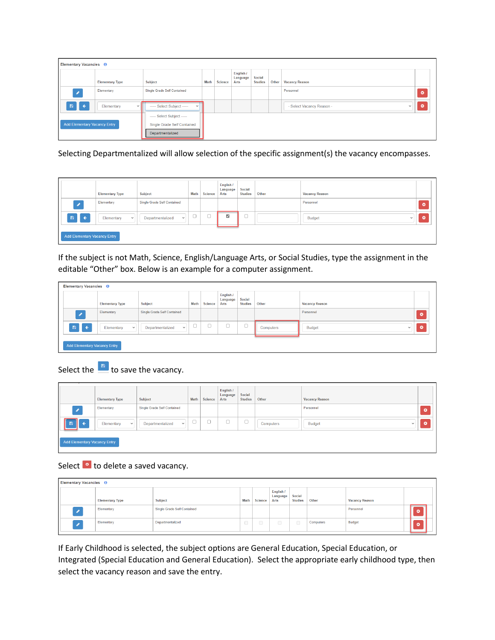|                                     | Elementary Vacancies <sup>O</sup>          |                                                                               |      |                |                               |                                 |       |                                           |           |  |  |  |
|-------------------------------------|--------------------------------------------|-------------------------------------------------------------------------------|------|----------------|-------------------------------|---------------------------------|-------|-------------------------------------------|-----------|--|--|--|
|                                     | <b>Elementary Type</b>                     | Subject                                                                       | Math | <b>Science</b> | English /<br>Language<br>Arts | <b>Social</b><br><b>Studies</b> | Other | <b>Vacancy Reason</b>                     |           |  |  |  |
| $\mathcal{L}_{\mathcal{L}}$         | Elementary                                 | Single Grade Self Contained                                                   |      |                |                               |                                 |       | Personnel                                 | $\bullet$ |  |  |  |
| 日                                   | Elementary<br>$\leftarrow$<br>$\checkmark$ | ----- Select Subject -----<br>$\checkmark$                                    |      |                |                               |                                 |       | - Select Vacancy Reason -<br>$\checkmark$ | ō         |  |  |  |
| <b>Add Elementary Vacancy Entry</b> |                                            | ----- Select Subject -----<br>Single Grade Self Contained<br>Departmentalized |      |                |                               |                                 |       |                                           |           |  |  |  |

Selecting Departmentalized will allow selection of the specific assignment(s) the vacancy encompasses.

|                                     |           | <b>Elementary Type</b>     | <b>Subject</b>                   | Math                          | <b>Science</b>           | English /<br>Language<br>Arts | Social<br><b>Studies</b> | Other | <b>Vacancy Reason</b>  |           |
|-------------------------------------|-----------|----------------------------|----------------------------------|-------------------------------|--------------------------|-------------------------------|--------------------------|-------|------------------------|-----------|
|                                     |           | Elementary                 | Single Grade Self Contained      |                               |                          |                               |                          |       | Personnel              | $\bullet$ |
|                                     | [ ←/<br>日 | Elementary<br>$\checkmark$ | Departmentalized<br>$\checkmark$ | $\overline{\phantom{a}}$<br>◡ | $\overline{\phantom{a}}$ | $\overline{a}$                | $\overline{\phantom{a}}$ |       | Budget<br>$\checkmark$ | $\bullet$ |
| <b>Add Elementary Vacancy Entry</b> |           |                            |                                  |                               |                          |                               |                          |       |                        |           |

If the subject is not Math, Science, English/Language Arts, or Social Studies, type the assignment in the editable "Other" box. Below is an example for a computer assignment.

| Elementary Vacancies <sup>O</sup>    |                            |                                  |                               |                |                               |                          |           |                        |           |
|--------------------------------------|----------------------------|----------------------------------|-------------------------------|----------------|-------------------------------|--------------------------|-----------|------------------------|-----------|
|                                      | <b>Elementary Type</b>     | <b>Subject</b>                   | Math                          | <b>Science</b> | English /<br>Language<br>Arts | Social<br><b>Studies</b> | Other     | <b>Vacancy Reason</b>  |           |
| $\mathscr{S}_1$                      | Elementary                 | Single Grade Self Contained      |                               |                |                               |                          |           | Personnel              | $\bullet$ |
| $\mathbf{B}$<br>$\ddot{\phantom{1}}$ | Elementary<br>$\checkmark$ | Departmentalized<br>$\checkmark$ | $\overline{\phantom{a}}$<br>◡ |                |                               | $\overline{\phantom{a}}$ | Computers | Budget<br>$\checkmark$ |           |
| <b>Add Elementary Vacancy Entry</b>  |                            |                                  |                               |                |                               |                          |           |                        |           |

# Select the  $\Box$  to save the vacancy.

|                                     | <b>Elementary Type</b>     | Subject                            | Math | <b>Science</b>                 | English /<br>Language<br>Arts | Social<br><b>Studies</b> | Other     | <b>Vacancy Reason</b>         |   |
|-------------------------------------|----------------------------|------------------------------------|------|--------------------------------|-------------------------------|--------------------------|-----------|-------------------------------|---|
|                                     | Elementary                 | <b>Single Grade Self Contained</b> |      |                                |                               |                          |           | Personnel                     | ø |
| Ш<br>$\mathbf{B}$<br>$\leftarrow$   | Elementary<br>$\checkmark$ | Departmentalized<br>$\checkmark$   | O.   | $\overline{\phantom{a}}$<br>J. |                               | $\sim$                   | Computers | <b>Budget</b><br>$\checkmark$ | σ |
| <b>Add Elementary Vacancy Entry</b> |                            |                                    |      |                                |                               |                          |           |                               |   |

# Select  $\bullet$  to delete a saved vacancy.

| Elementary Vacancies <sup>O</sup>         |                  |        |                |                               |                          |           |                       |  |   |
|-------------------------------------------|------------------|--------|----------------|-------------------------------|--------------------------|-----------|-----------------------|--|---|
| <b>Elementary Type</b>                    | Subject          | Math   | <b>Science</b> | English /<br>Language<br>Arts | Social<br><b>Studies</b> | Other     | <b>Vacancy Reason</b> |  |   |
| Elementary<br>Single Grade Self Contained |                  |        |                |                               |                          |           | Personnel             |  |   |
| Elementary                                | Departmentalized | $\Box$ | $\Box$         | $\Box$                        | $\Box$                   | Computers | Budget                |  | ø |

If Early Childhood is selected, the subject options are General Education, Special Education, or Integrated (Special Education and General Education). Select the appropriate early childhood type, then select the vacancy reason and save the entry.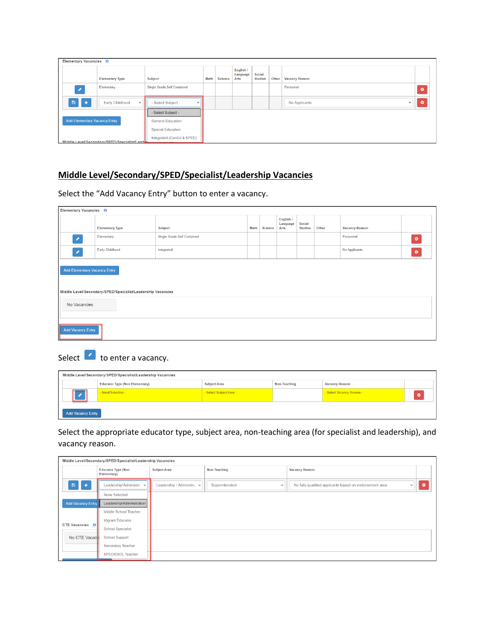| Elementary Vacancies <sup>O</sup>   |                                               |                                    |      |         |                               |                          |       |                               |           |
|-------------------------------------|-----------------------------------------------|------------------------------------|------|---------|-------------------------------|--------------------------|-------|-------------------------------|-----------|
|                                     | <b>Elementary Type</b>                        | Subject                            | Math | Science | English /<br>Language<br>Arts | Social<br><b>Studies</b> | Other | <b>Vacancy Reason</b>         |           |
| ×                                   | Elementary                                    | <b>Single Grade Self Contained</b> |      |         |                               |                          |       | Personnel                     | $\bullet$ |
| 日<br>$\leftarrow$                   | Early Childhood<br>$\checkmark$               | - Select Subject -<br>$\checkmark$ |      |         |                               |                          |       | No Applicants<br>$\checkmark$ | $\bullet$ |
|                                     |                                               | - Select Subject -                 |      |         |                               |                          |       |                               |           |
| <b>Add Elementary Vacancy Entry</b> |                                               | <b>General Education</b>           |      |         |                               |                          |       |                               |           |
|                                     |                                               | <b>Special Education</b>           |      |         |                               |                          |       |                               |           |
|                                     | Middle Level/Secondary/SPED/Specialist/Leader | Integrated (GenEd & SPED)          |      |         |                               |                          |       |                               |           |

## **Middle Level/Secondary/SPED/Specialist/Leadership Vacancies**

Select the "Add Vacancy Entry" button to enter a vacancy.

| Elementary Vacancies <sup>O</sup>                                                                         |                        |         |      |                |                               |                                 |           |                       |  |
|-----------------------------------------------------------------------------------------------------------|------------------------|---------|------|----------------|-------------------------------|---------------------------------|-----------|-----------------------|--|
|                                                                                                           | <b>Elementary Type</b> | Subject | Math | <b>Science</b> | English /<br>Language<br>Arts | <b>Social</b><br><b>Studies</b> | Other     | <b>Vacancy Reason</b> |  |
| Single Grade Self Contained<br>Elementary<br>$\mathcal{S}_{\mathcal{S}}$<br>Early Childhood<br>Integrated |                        |         |      |                |                               |                                 | Personnel | $\bullet$             |  |
| $\mathcal{S}_{\mathcal{S}}$                                                                               |                        |         |      |                |                               | No Applicants                   | $\bullet$ |                       |  |
| <b>Add Elementary Vacancy Entry</b><br>Middle Level/Secondary/SPED/Specialist/Leadership Vacancies        |                        |         |      |                |                               |                                 |           |                       |  |
| No Vacancies                                                                                              |                        |         |      |                |                               |                                 |           |                       |  |
| <b>Add Vacancy Entry</b>                                                                                  |                        |         |      |                |                               |                                 |           |                       |  |

# Select  $\bullet$  to enter a vacancy.

|                          | Middle Level/Secondary/SPED/Specialist/Leadership Vacancies |                         |              |                           |  |
|--------------------------|-------------------------------------------------------------|-------------------------|--------------|---------------------------|--|
|                          | <b>Educator Type (Non Elementary)</b>                       | <b>Subject Area</b>     | Non-Teaching | <b>Vacancy Reason</b>     |  |
|                          | - Need Selection -                                          | - Select Subject Area - |              | - Select Vacancy Reason - |  |
| <b>Add Vacancy Entry</b> |                                                             |                         |              |                           |  |

Select the appropriate educator type, subject area, non-teaching area (for specialist and leadership), and vacancy reason.

|                          | Middle Level/Secondary/SPED/Specialist/Leadership Vacancies |                           |                                |                                                         |           |
|--------------------------|-------------------------------------------------------------|---------------------------|--------------------------------|---------------------------------------------------------|-----------|
|                          | <b>Educator Type (Non</b><br>Elementary)                    | <b>Subject Area</b>       | Non-Teaching                   | <b>Vacancy Reason</b>                                   |           |
| 鲁<br>$\leftarrow$        | Leadership/Administra v                                     | Leadership / Administra v | Superintendent<br>$\checkmark$ | No fully-qualified applicants based on endorsement area | $\bullet$ |
|                          | None Selected                                               |                           |                                |                                                         |           |
| <b>Add Vacancy Entry</b> | Leadership/Administration                                   |                           |                                |                                                         |           |
|                          | Middle School Teacher                                       |                           |                                |                                                         |           |
| <b>CTE Vacancies O</b>   | <b>Migrant Educator</b>                                     |                           |                                |                                                         |           |
|                          | <b>School Specialist</b>                                    |                           |                                |                                                         |           |
| No CTE Vacan             | <b>School Support</b>                                       |                           |                                |                                                         |           |
|                          | Secondary Teacher                                           |                           |                                |                                                         |           |
|                          | SPED/ESOL Teacher                                           |                           |                                |                                                         |           |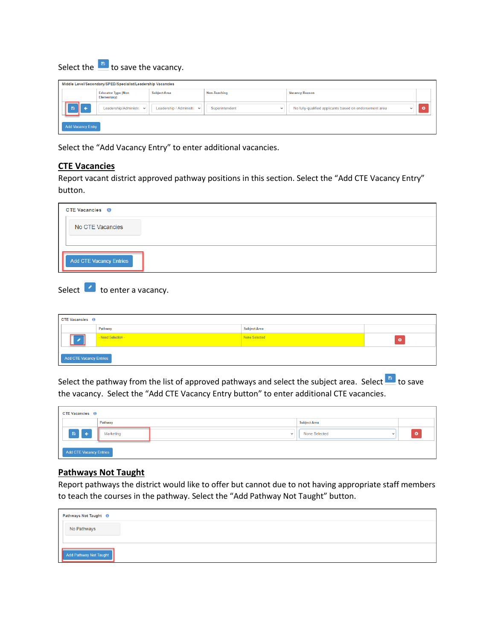Select the  $\Box$  to save the vacancy.

| Middle Level/Secondary/SPED/Specialist/Leadership Vacancies |                                          |                           |                                |                                                         |  |  |  |  |  |  |  |
|-------------------------------------------------------------|------------------------------------------|---------------------------|--------------------------------|---------------------------------------------------------|--|--|--|--|--|--|--|
|                                                             | <b>Educator Type (Non</b><br>Elementary) | <b>Subject Area</b>       | Non-Teaching                   | <b>Vacancy Reason</b>                                   |  |  |  |  |  |  |  |
|                                                             | Leadership/Administra v                  | Leadership / Administra v | Superintendent<br>$\checkmark$ | No fully-qualified applicants based on endorsement area |  |  |  |  |  |  |  |
| <b>Add Vacancy Entry</b>                                    |                                          |                           |                                |                                                         |  |  |  |  |  |  |  |

Select the "Add Vacancy Entry" to enter additional vacancies.

### **CTE Vacancies**

Report vacant district approved pathway positions in this section. Select the "Add CTE Vacancy Entry" button.

| <b>CTE Vacancies O</b>         |  |  |
|--------------------------------|--|--|
| No CTE Vacancies               |  |  |
| <b>Add CTE Vacancy Entries</b> |  |  |

Select  $\Box$  to enter a vacancy.

| <b>CTE Vacancies O</b>  |                    |                     |  |
|-------------------------|--------------------|---------------------|--|
|                         | Pathway            | <b>Subject Area</b> |  |
|                         | - Need Selection - | None Selected       |  |
| Add CTE Vacancy Entries |                    |                     |  |

Select the pathway from the list of approved pathways and select the subject area. Select  $\frac{1}{n}$  to save the vacancy. Select the "Add CTE Vacancy Entry button" to enter additional CTE vacancies.

| <b>CTE Vacancies O</b>                |           |                          |                             |   |
|---------------------------------------|-----------|--------------------------|-----------------------------|---|
|                                       | Pathway   |                          | <b>Subject Area</b>         |   |
| $\mathbb{R}$ $\left\{ \cdot \right\}$ | Marketing | $\overline{\phantom{a}}$ | None Selected<br>$\tilde{}$ | ø |
| Add CTE Vacancy Entries               |           |                          |                             |   |

### **Pathways Not Taught**

Report pathways the district would like to offer but cannot due to not having appropriate staff members to teach the courses in the pathway. Select the "Add Pathway Not Taught" button.

| Pathways Not Taught <sup>1</sup>                                                                                                                                                                                                                        |  |  |  |  |
|---------------------------------------------------------------------------------------------------------------------------------------------------------------------------------------------------------------------------------------------------------|--|--|--|--|
| No Pathways                                                                                                                                                                                                                                             |  |  |  |  |
| Add Pathway Not Taught<br>the control of the control of the control of the control of the control of the control of the control of the control of the control of the control of the control of the control of the control of the control of the control |  |  |  |  |